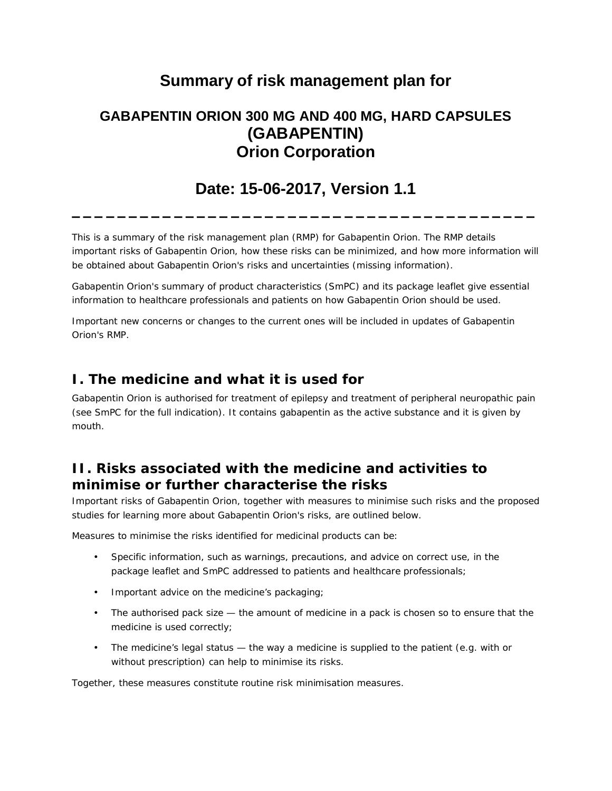# **Summary of risk management plan for**

## **GABAPENTIN ORION 300 MG AND 400 MG, HARD CAPSULES (GABAPENTIN) Orion Corporation**

## **Date: 15-06-2017, Version 1.1**

**\_\_\_\_\_\_\_\_\_\_\_\_\_\_\_\_\_\_\_\_\_\_\_\_\_\_\_\_\_\_\_\_\_\_\_\_\_\_\_\_\_**

This is a summary of the risk management plan (RMP) for Gabapentin Orion. The RMP details important risks of Gabapentin Orion, how these risks can be minimized, and how more information will be obtained about Gabapentin Orion's risks and uncertainties (missing information).

Gabapentin Orion's summary of product characteristics (SmPC) and its package leaflet give essential information to healthcare professionals and patients on how Gabapentin Orion should be used.

Important new concerns or changes to the current ones will be included in updates of Gabapentin Orion's RMP.

### **I. The medicine and what it is used for**

Gabapentin Orion is authorised for treatment of epilepsy and treatment of peripheral neuropathic pain (see SmPC for the full indication). It contains gabapentin as the active substance and it is given by mouth.

## **II. Risks associated with the medicine and activities to minimise or further characterise the risks**

Important risks of Gabapentin Orion, together with measures to minimise such risks and the proposed studies for learning more about Gabapentin Orion's risks, are outlined below.

Measures to minimise the risks identified for medicinal products can be:

- Specific information, such as warnings, precautions, and advice on correct use, in the package leaflet and SmPC addressed to patients and healthcare professionals;
- Important advice on the medicine's packaging; ÷.
- The authorised pack size the amount of medicine in a pack is chosen so to ensure that the medicine is used correctly;
- The medicine's legal status the way a medicine is supplied to the patient (e.g. with or  $\mathcal{L}^{\text{max}}$ without prescription) can help to minimise its risks.

Together, these measures constitute routine risk minimisation measures.